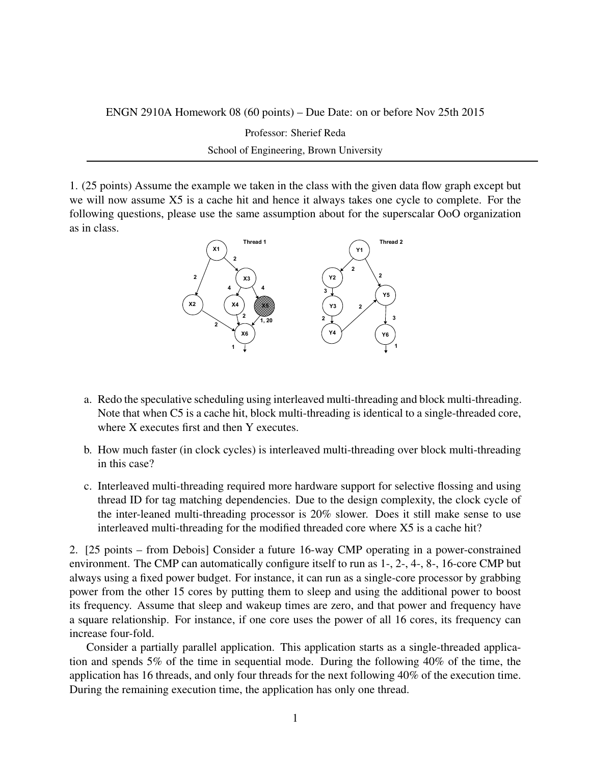ENGN 2910A Homework 08 (60 points) – Due Date: on or before Nov 25th 2015

Professor: Sherief Reda

School of Engineering, Brown University

1. (25 points) Assume the example we taken in the class with the given data flow graph except but we will now assume X5 is a cache hit and hence it always takes one cycle to complete. For the following questions, please use the same assumption about for the superscalar OoO organization as in class.



- a. Redo the speculative scheduling using interleaved multi-threading and block multi-threading. Note that when C5 is a cache hit, block multi-threading is identical to a single-threaded core, where X executes first and then Y executes.
- b. How much faster (in clock cycles) is interleaved multi-threading over block multi-threading in this case?
- c. Interleaved multi-threading required more hardware support for selective flossing and using thread ID for tag matching dependencies. Due to the design complexity, the clock cycle of the inter-leaned multi-threading processor is 20% slower. Does it still make sense to use interleaved multi-threading for the modified threaded core where X5 is a cache hit?

2. [25 points – from Debois] Consider a future 16-way CMP operating in a power-constrained environment. The CMP can automatically configure itself to run as 1-, 2-, 4-, 8-, 16-core CMP but always using a fixed power budget. For instance, it can run as a single-core processor by grabbing power from the other 15 cores by putting them to sleep and using the additional power to boost its frequency. Assume that sleep and wakeup times are zero, and that power and frequency have a square relationship. For instance, if one core uses the power of all 16 cores, its frequency can increase four-fold.

Consider a partially parallel application. This application starts as a single-threaded application and spends 5% of the time in sequential mode. During the following 40% of the time, the application has 16 threads, and only four threads for the next following 40% of the execution time. During the remaining execution time, the application has only one thread.